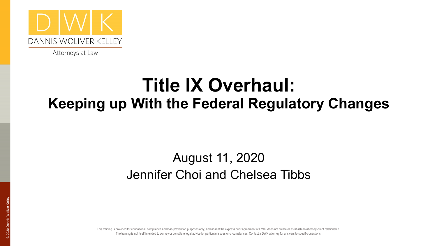

Attorneys at Law

#### **Title IX Overhaul: Keeping up With the Federal Regulatory Changes**

#### August 11, 2020 Jennifer Choi and Chelsea Tibbs

notation of calcularial, complained and receptor particular particular issues or circumstances. Contact a DWK attorney for answers to specific questions.<br>The training is not itself intended to convey or constitute legal ad This training is provided for educational, compliance and loss-prevention purposes only, and absent the express prior agreement of DWK, does not create or establish an attorney-client relationship.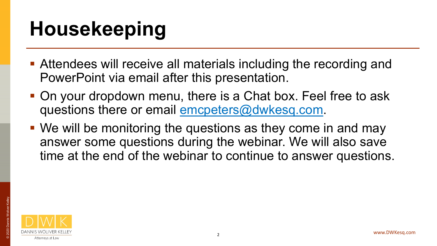## **Housekeeping**

- Attendees will receive all materials including the recording and PowerPoint via email after this presentation.
- On your dropdown menu, there is a Chat box. Feel free to ask questions there or email emcpeters@dwkesq.com.
- We will be monitoring the questions as they come in and may answer some questions during the webinar. We will also save time at the end of the webinar to continue to answer questions.

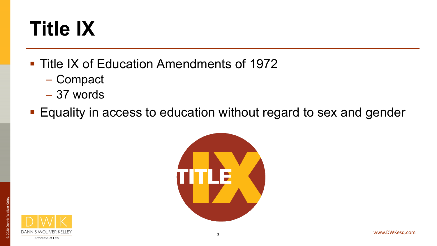## **Title IX**

- Title IX of Education Amendments of 1972
	- Compact
	- 37 words
- **Equality in access to education without regard to sex and gender**



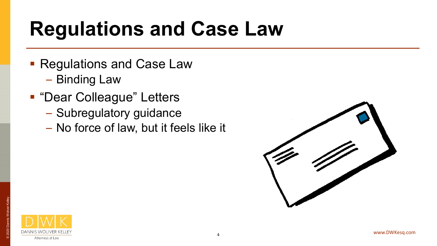## **Regulations and Case Law**

- **Regulations and Case Law** 
	- Binding Law
- **"Dear Colleague" Letters** 
	- Subregulatory guidance
	- No force of law, but it feels like it



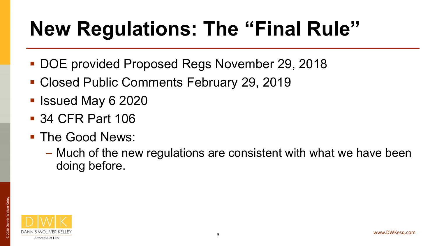## **New Regulations: The "Final Rule"**

- DOE provided Proposed Regs November 29, 2018
- Closed Public Comments February 29, 2019
- **I** Issued May 6 2020
- 34 CFR Part 106
- The Good News:
	- Much of the new regulations are consistent with what we have been doing before.

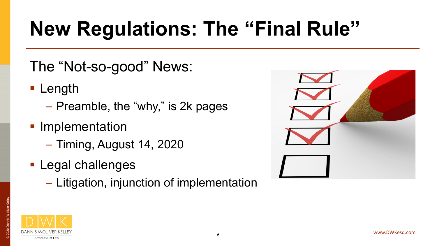## **New Regulations: The "Final Rule"**

#### The "Not-so-good" News:

- **Length** 
	- Preamble, the "why," is 2k pages
- **Implementation** 
	- Timing, August 14, 2020
- **Legal challenges** 
	- Litigation, injunction of implementation





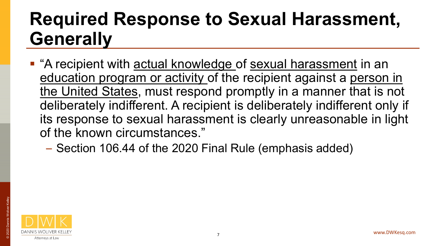### **Required Response to Sexual Harassment, Generally**

- "A recipient with actual knowledge of sexual harassment in an education program or activity of the recipient against a person in the United States, must respond promptly in a manner that is not deliberately indifferent. A recipient is deliberately indifferent only if its response to sexual harassment is clearly unreasonable in light of the known circumstances."
	- Section 106.44 of the 2020 Final Rule (emphasis added)

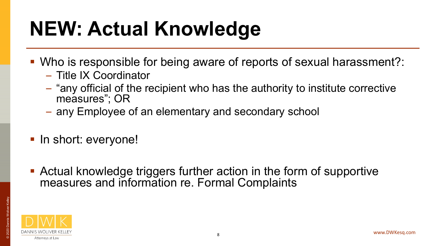## **NEW: Actual Knowledge**

- Who is responsible for being aware of reports of sexual harassment?:
	- Title IX Coordinator
	- "any official of the recipient who has the authority to institute corrective measures"; OR
	- any Employee of an elementary and secondary school
- In short: everyone!
- Actual knowledge triggers further action in the form of supportive measures and information re. Formal Complaints

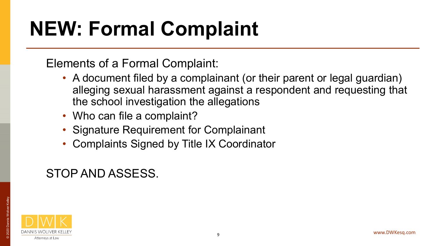## **NEW: Formal Complaint**

Elements of a Formal Complaint:

- A document filed by a complainant (or their parent or legal guardian) alleging sexual harassment against a respondent and requesting that the school investigation the allegations
- Who can file a complaint?
- Signature Requirement for Complainant
- Complaints Signed by Title IX Coordinator

#### STOP AND ASSESS.

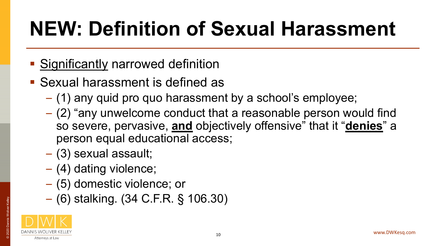# **NEW: Definition of Sexual Harassment**

- **Significantly narrowed definition**
- **Sexual harassment is defined as** 
	- (1) any quid pro quo harassment by a school's employee;
	- (2) "any unwelcome conduct that a reasonable person would find so severe, pervasive, **and** objectively offensive" that it "**denies**" a person equal educational access;
	- (3) sexual assault;
	- (4) dating violence;
	- (5) domestic violence; or
	- (6) stalking. (34 C.F.R. § 106.30)

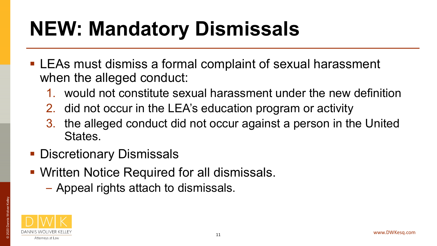## **NEW: Mandatory Dismissals**

- **LEAs must dismiss a formal complaint of sexual harassment** when the alleged conduct:
	- 1. would not constitute sexual harassment under the new definition
	- 2. did not occur in the LEA's education program or activity
	- 3. the alleged conduct did not occur against a person in the United States.
- **Discretionary Dismissals**
- **Written Notice Required for all dismissals.** 
	- Appeal rights attach to dismissals.



© 2020 Dannis Woliver Kelley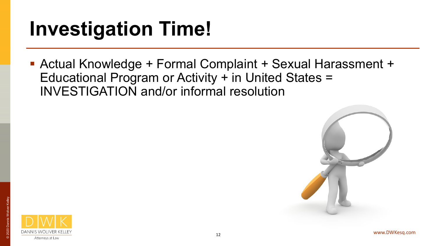## **Investigation Time!**

 Actual Knowledge + Formal Complaint + Sexual Harassment + Educational Program or Activity + in United States = INVESTIGATION and/or informal resolution



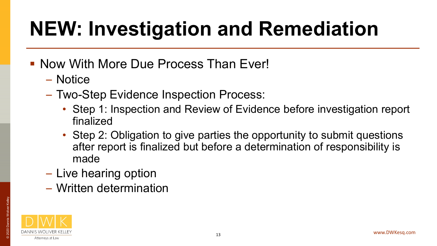## **NEW: Investigation and Remediation**

- **Now With More Due Process Than Ever!** 
	- Notice
	- Two-Step Evidence Inspection Process:
		- Step 1: Inspection and Review of Evidence before investigation report finalized
		- Step 2: Obligation to give parties the opportunity to submit questions after report is finalized but before a determination of responsibility is made
	- Live hearing option
	- Written determination



© 2020 Dannis Woliver Kelley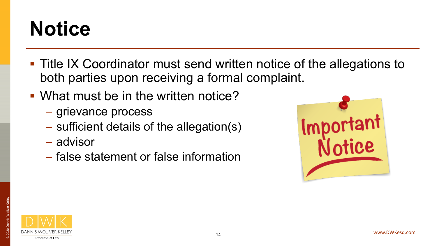## **Notice**

- Title IX Coordinator must send written notice of the allegations to both parties upon receiving a formal complaint.
- What must be in the written notice?
	- grievance process
	- sufficient details of the allegation(s)
	- advisor
	- false statement or false information





© 2020 Dannis Woliver Kelley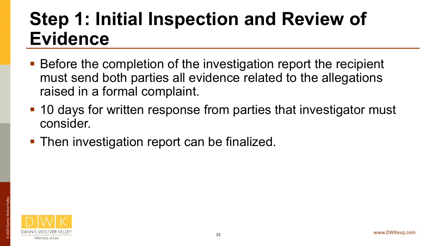### **Step 1: Initial Inspection and Review of Evidence**

- Before the completion of the investigation report the recipient must send both parties all evidence related to the allegations raised in a formal complaint.
- 10 days for written response from parties that investigator must consider.
- **Then investigation report can be finalized.**

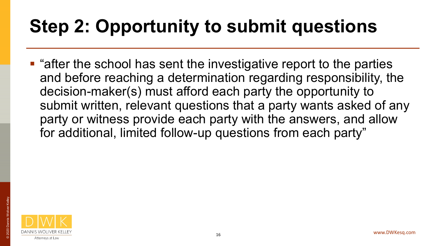## **Step 2: Opportunity to submit questions**

**E** "after the school has sent the investigative report to the parties and before reaching a determination regarding responsibility, the decision-maker(s) must afford each party the opportunity to submit written, relevant questions that a party wants asked of any party or witness provide each party with the answers, and allow for additional, limited follow-up questions from each party"



© 2020 Dannis Woliver Kelley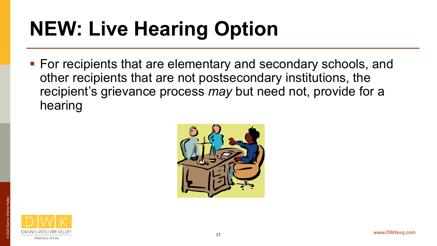# **NEW: Live Hearing Option**

■ For recipients that are elementary and secondary schools, and other recipients that are not postsecondary institutions, the recipient's grievance process *may* but need not, provide for a hearing



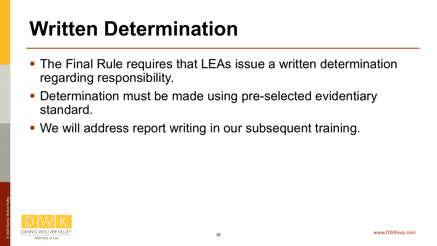## **Written Determination**

- The Final Rule requires that LEAs issue a written determination regarding responsibility.
- **Determination must be made using pre-selected evidentiary** standard.
- We will address report writing in our subsequent training.

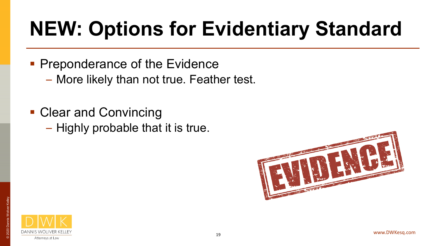# **NEW: Options for Evidentiary Standard**

- **Preponderance of the Evidence** 
	- More likely than not true. Feather test.
- Clear and Convincing
	- Highly probable that it is true.



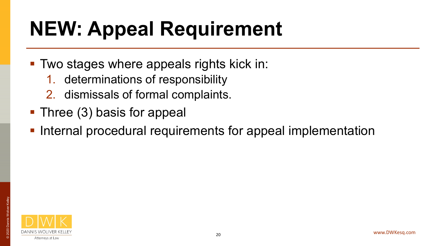## **NEW: Appeal Requirement**

- Two stages where appeals rights kick in:
	- 1. determinations of responsibility
	- 2. dismissals of formal complaints.
- Three (3) basis for appeal
- **Internal procedural requirements for appeal implementation**

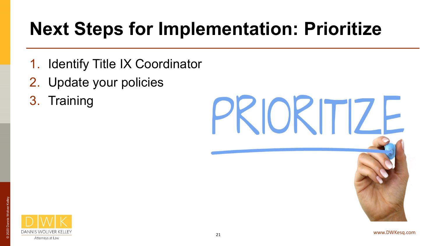## **Next Steps for Implementation: Prioritize**

- 1. Identify Title IX Coordinator
- 2. Update your policies
- 3. Training



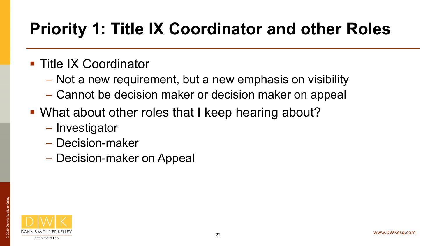#### **Priority 1: Title IX Coordinator and other Roles**

#### **Title IX Coordinator**

- Not a new requirement, but a new emphasis on visibility
- Cannot be decision maker or decision maker on appeal
- What about other roles that I keep hearing about?
	- Investigator
	- Decision-maker
	- Decision-maker on Appeal

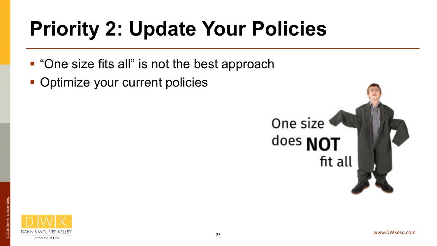# **Priority 2: Update Your Policies**

- "One size fits all" is not the best approach
- Optimize your current policies



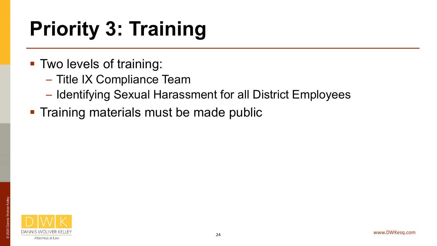# **Priority 3: Training**

- **Two levels of training:** 
	- Title IX Compliance Team
	- Identifying Sexual Harassment for all District Employees
- **Training materials must be made public**

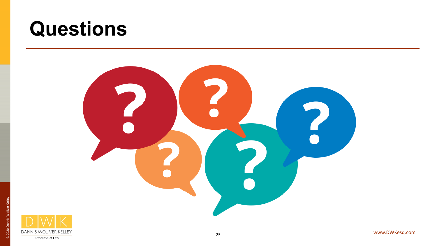## **Questions**





© 2020 Dannis Woliver Kelley

is Woli

© 2020 D

**R** 

Attorneys at Law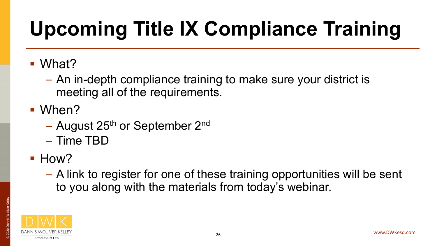# **Upcoming Title IX Compliance Training**

■ What?

– An in-depth compliance training to make sure your district is meeting all of the requirements.

**When?** 

- August 25<sup>th</sup> or September 2<sup>nd</sup>
- Time TBD
- $\blacksquare$  How?
	- A link to register for one of these training opportunities will be sent to you along with the materials from today's webinar.



© 2020 Dannis Woliver Kelley